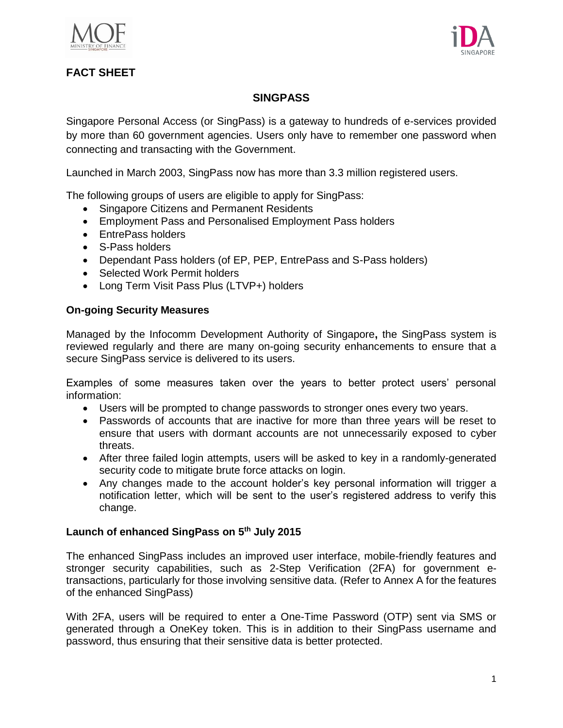



# **FACT SHEET**

## **SINGPASS**

Singapore Personal Access (or SingPass) is a gateway to hundreds of e-services provided by more than 60 government agencies. Users only have to remember one password when connecting and transacting with the Government.

Launched in March 2003, SingPass now has more than 3.3 million registered users.

The following groups of users are eligible to apply for SingPass:

- Singapore Citizens and Permanent Residents
- Employment Pass and Personalised Employment Pass holders
- **EntrePass holders**
- S-Pass holders
- Dependant Pass holders (of EP, PEP, EntrePass and S-Pass holders)
- Selected Work Permit holders
- Long Term Visit Pass Plus (LTVP+) holders

### **On-going Security Measures**

Managed by the Infocomm Development Authority of Singapore**,** the SingPass system is reviewed regularly and there are many on-going security enhancements to ensure that a secure SingPass service is delivered to its users.

Examples of some measures taken over the years to better protect users' personal information:

- Users will be prompted to change passwords to stronger ones every two years.
- Passwords of accounts that are inactive for more than three years will be reset to ensure that users with dormant accounts are not unnecessarily exposed to cyber threats.
- After three failed login attempts, users will be asked to key in a randomly-generated security code to mitigate brute force attacks on login.
- Any changes made to the account holder's key personal information will trigger a notification letter, which will be sent to the user's registered address to verify this change.

## **Launch of enhanced SingPass on 5th July 2015**

The enhanced SingPass includes an improved user interface, mobile-friendly features and stronger security capabilities, such as 2-Step Verification (2FA) for government etransactions, particularly for those involving sensitive data. (Refer to Annex A for the features of the enhanced SingPass)

With 2FA, users will be required to enter a One-Time Password (OTP) sent via SMS or generated through a OneKey token. This is in addition to their SingPass username and password, thus ensuring that their sensitive data is better protected.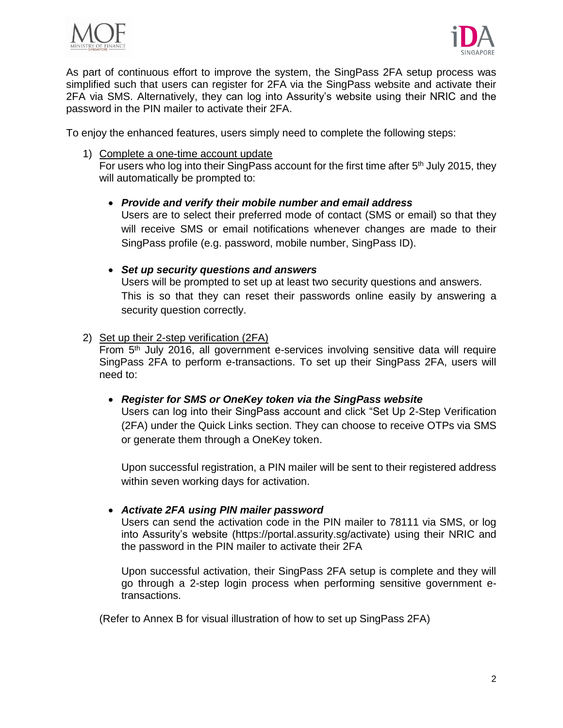



As part of continuous effort to improve the system, the SingPass 2FA setup process was simplified such that users can register for 2FA via the SingPass website and activate their 2FA via SMS. Alternatively, they can log into Assurity's website using their NRIC and the password in the PIN mailer to activate their 2FA.

To enjoy the enhanced features, users simply need to complete the following steps:

1) Complete a one-time account update

For users who log into their SingPass account for the first time after 5<sup>th</sup> July 2015, they will automatically be prompted to:

*Provide and verify their mobile number and email address*

Users are to select their preferred mode of contact (SMS or email) so that they will receive SMS or email notifications whenever changes are made to their SingPass profile (e.g. password, mobile number, SingPass ID).

- *Set up security questions and answers*  Users will be prompted to set up at least two security questions and answers. This is so that they can reset their passwords online easily by answering a security question correctly.
- 2) Set up their 2-step verification (2FA)

From 5<sup>th</sup> July 2016, all government e-services involving sensitive data will require SingPass 2FA to perform e-transactions. To set up their SingPass 2FA, users will need to:

*Register for SMS or OneKey token via the SingPass website*

Users can log into their SingPass account and click "Set Up 2-Step Verification (2FA) under the Quick Links section. They can choose to receive OTPs via SMS or generate them through a OneKey token.

Upon successful registration, a PIN mailer will be sent to their registered address within seven working days for activation.

### *Activate 2FA using PIN mailer password*

Users can send the activation code in the PIN mailer to 78111 via SMS, or log into Assurity's website (https://portal.assurity.sg/activate) using their NRIC and the password in the PIN mailer to activate their 2FA

Upon successful activation, their SingPass 2FA setup is complete and they will go through a 2-step login process when performing sensitive government etransactions.

(Refer to Annex B for visual illustration of how to set up SingPass 2FA)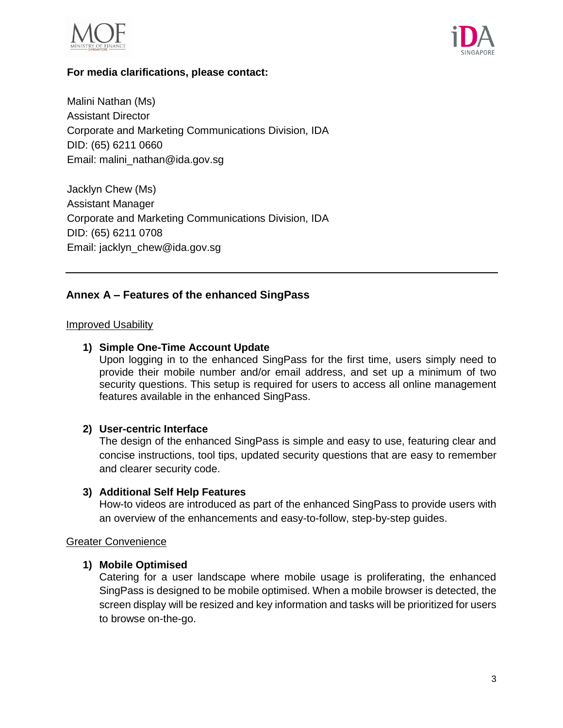



### **For media clarifications, please contact:**

Malini Nathan (Ms) Assistant Director Corporate and Marketing Communications Division, IDA DID: (65) 6211 0660 Email: malini\_nathan@ida.gov.sg

Jacklyn Chew (Ms) Assistant Manager Corporate and Marketing Communications Division, IDA DID: (65) 6211 0708 Email: jacklyn\_chew@ida.gov.sg

## **Annex A – Features of the enhanced SingPass**

### **Improved Usability**

### **1) Simple One-Time Account Update**

Upon logging in to the enhanced SingPass for the first time, users simply need to provide their mobile number and/or email address, and set up a minimum of two security questions. This setup is required for users to access all online management features available in the enhanced SingPass.

### **2) User-centric Interface**

The design of the enhanced SingPass is simple and easy to use, featuring clear and concise instructions, tool tips, updated security questions that are easy to remember and clearer security code.

#### **3) Additional Self Help Features**

How-to videos are introduced as part of the enhanced SingPass to provide users with an overview of the enhancements and easy-to-follow, step-by-step guides.

#### Greater Convenience

### **1) Mobile Optimised**

Catering for a user landscape where mobile usage is proliferating, the enhanced SingPass is designed to be mobile optimised. When a mobile browser is detected, the screen display will be resized and key information and tasks will be prioritized for users to browse on-the-go.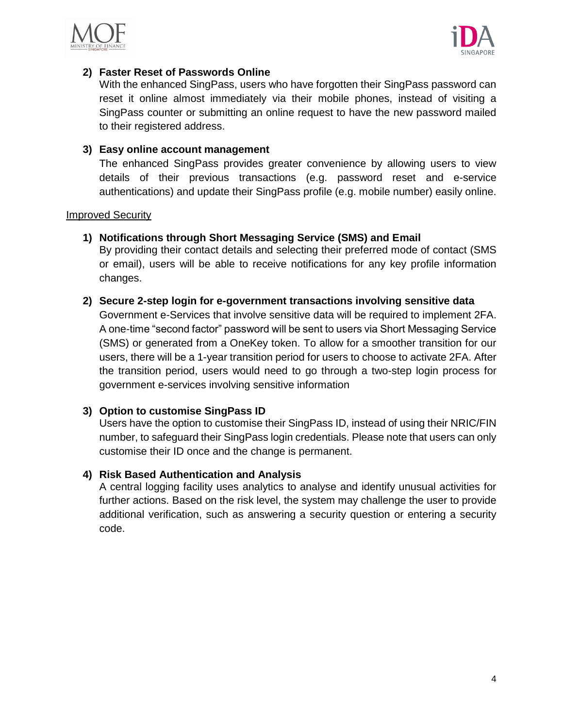



## **2) Faster Reset of Passwords Online**

With the enhanced SingPass, users who have forgotten their SingPass password can reset it online almost immediately via their mobile phones, instead of visiting a SingPass counter or submitting an online request to have the new password mailed to their registered address.

### **3) Easy online account management**

The enhanced SingPass provides greater convenience by allowing users to view details of their previous transactions (e.g. password reset and e-service authentications) and update their SingPass profile (e.g. mobile number) easily online.

### Improved Security

## **1) Notifications through Short Messaging Service (SMS) and Email**

By providing their contact details and selecting their preferred mode of contact (SMS or email), users will be able to receive notifications for any key profile information changes.

### **2) Secure 2-step login for e-government transactions involving sensitive data**

Government e-Services that involve sensitive data will be required to implement 2FA. A one-time "second factor" password will be sent to users via Short Messaging Service (SMS) or generated from a OneKey token. To allow for a smoother transition for our users, there will be a 1-year transition period for users to choose to activate 2FA. After the transition period, users would need to go through a two-step login process for government e-services involving sensitive information

### **3) Option to customise SingPass ID**

Users have the option to customise their SingPass ID, instead of using their NRIC/FIN number, to safeguard their SingPass login credentials. Please note that users can only customise their ID once and the change is permanent.

### **4) Risk Based Authentication and Analysis**

A central logging facility uses analytics to analyse and identify unusual activities for further actions. Based on the risk level, the system may challenge the user to provide additional verification, such as answering a security question or entering a security code.